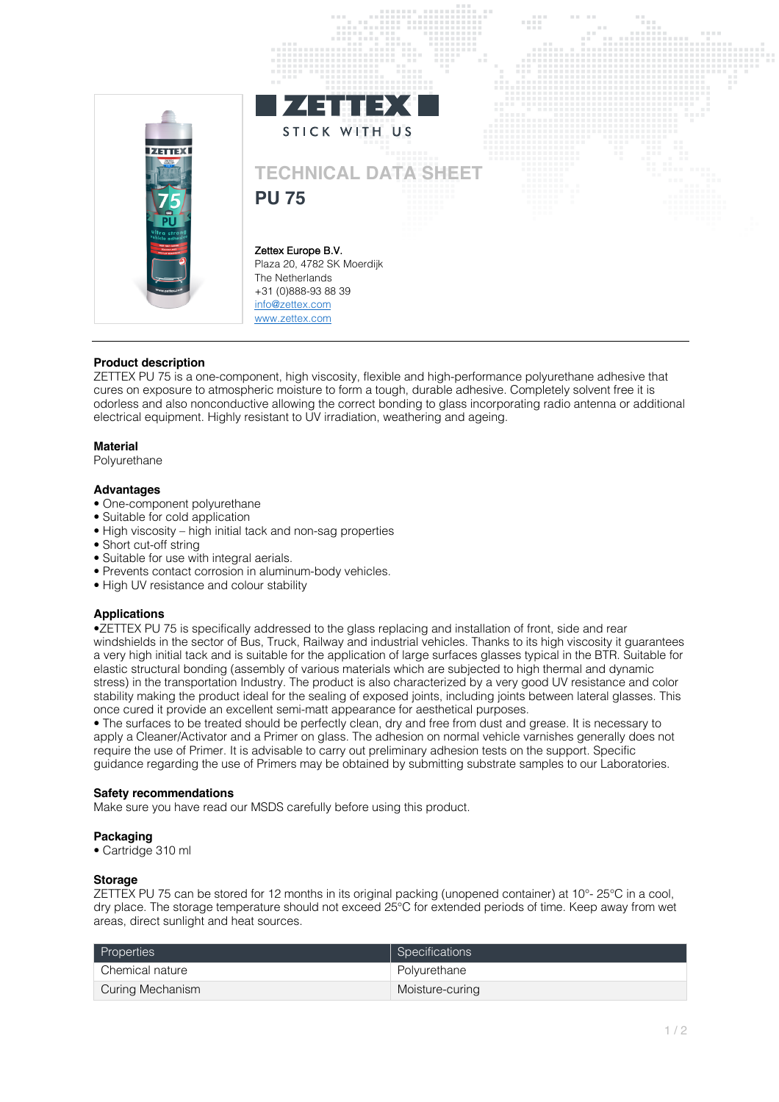

# **Product description**

ZETTEX PU 75 is a one-component, high viscosity, flexible and high-performance polyurethane adhesive that cures on exposure to atmospheric moisture to form a tough, durable adhesive. Completely solvent free it is odorless and also nonconductive allowing the correct bonding to glass incorporating radio antenna or additional electrical equipment. Highly resistant to UV irradiation, weathering and ageing.

## **Material**

Polyurethane

## **Advantages**

- One-component polyurethane
- Suitable for cold application
- High viscosity high initial tack and non-sag properties
- Short cut-off string
- Suitable for use with integral aerials.
- Prevents contact corrosion in aluminum-body vehicles.
- High UV resistance and colour stability

## **Applications**

•ZETTEX PU 75 is specifically addressed to the glass replacing and installation of front, side and rear windshields in the sector of Bus, Truck, Railway and industrial vehicles. Thanks to its high viscosity it guarantees a very high initial tack and is suitable for the application of large surfaces glasses typical in the BTR. Suitable for elastic structural bonding (assembly of various materials which are subjected to high thermal and dynamic stress) in the transportation Industry. The product is also characterized by a very good UV resistance and color stability making the product ideal for the sealing of exposed joints, including joints between lateral glasses. This once cured it provide an excellent semi-matt appearance for aesthetical purposes.

• The surfaces to be treated should be perfectly clean, dry and free from dust and grease. It is necessary to apply a Cleaner/Activator and a Primer on glass. The adhesion on normal vehicle varnishes generally does not require the use of Primer. It is advisable to carry out preliminary adhesion tests on the support. Specific guidance regarding the use of Primers may be obtained by submitting substrate samples to our Laboratories.

### **Safety recommendations**

Make sure you have read our MSDS carefully before using this product.

### **Packaging**

• Cartridge 310 ml

### **Storage**

ZETTEX PU 75 can be stored for 12 months in its original packing (unopened container) at 10°- 25°C in a cool, dry place. The storage temperature should not exceed 25°C for extended periods of time. Keep away from wet areas, direct sunlight and heat sources.

| Properties       | Specifications  |
|------------------|-----------------|
| Chemical nature  | Polyurethane    |
| Curing Mechanism | Moisture-curing |